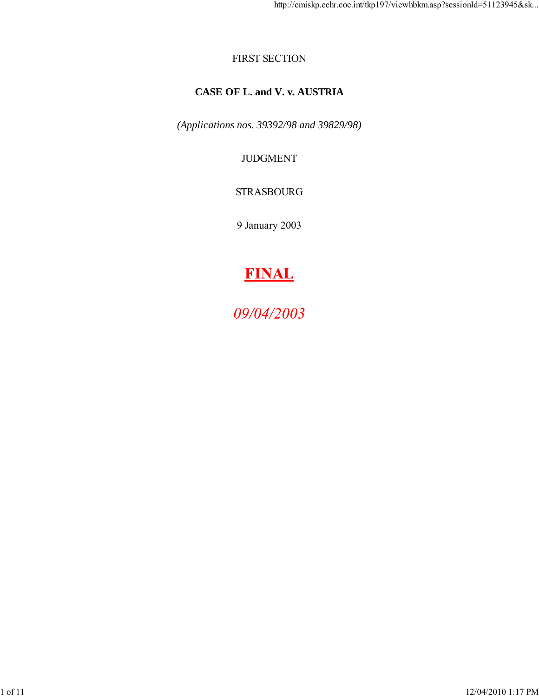## FIRST SECTION

# **CASE OF L. and V. v. AUSTRIA**

*(Applications nos. 39392/98 and 39829/98)*

# JUDGMENT

# STRASBOURG

9 January 2003

# **FINAL**

09/04/2003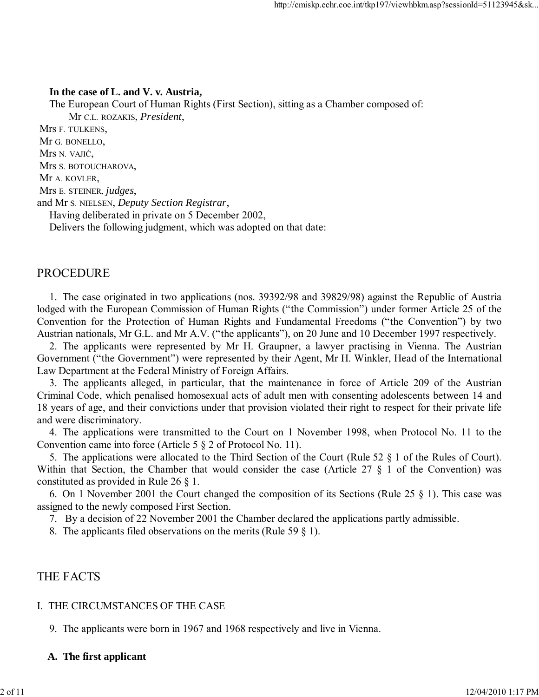#### **In the case of L. and V. v. Austria,**

The European Court of Human Rights (First Section), sitting as a Chamber composed of: Mr C.L. ROZAKIS, *President*, Mrs F. TULKENS, Mr G. BONELLO, Mrs N. VAJIĆ, Mrs S. BOTOUCHAROVA,

Mr A. KOVLER,

Mrs E. STEINER, *judges*,

and Mr S. NIELSEN, *Deputy Section Registrar*,

Having deliberated in private on 5 December 2002,

Delivers the following judgment, which was adopted on that date:

### PROCEDURE

1. The case originated in two applications (nos. 39392/98 and 39829/98) against the Republic of Austria lodged with the European Commission of Human Rights ("the Commission") under former Article 25 of the Convention for the Protection of Human Rights and Fundamental Freedoms ("the Convention") by two Austrian nationals, Mr G.L. and Mr A.V. ("the applicants"), on 20 June and 10 December 1997 respectively.

2. The applicants were represented by Mr H. Graupner, a lawyer practising in Vienna. The Austrian Government ("the Government") were represented by their Agent, Mr H. Winkler, Head of the International Law Department at the Federal Ministry of Foreign Affairs.

3. The applicants alleged, in particular, that the maintenance in force of Article 209 of the Austrian Criminal Code, which penalised homosexual acts of adult men with consenting adolescents between 14 and 18 years of age, and their convictions under that provision violated their right to respect for their private life and were discriminatory.

4. The applications were transmitted to the Court on 1 November 1998, when Protocol No. 11 to the Convention came into force (Article 5 § 2 of Protocol No. 11).

5. The applications were allocated to the Third Section of the Court (Rule 52 § 1 of the Rules of Court). Within that Section, the Chamber that would consider the case (Article 27 § 1 of the Convention) was constituted as provided in Rule 26 § 1.

6. On 1 November 2001 the Court changed the composition of its Sections (Rule 25 § 1). This case was assigned to the newly composed First Section.

7. By a decision of 22 November 2001 the Chamber declared the applications partly admissible.

8. The applicants filed observations on the merits (Rule 59 § 1).

# THE FACTS

# I. THE CIRCUMSTANCES OF THE CASE

9. The applicants were born in 1967 and 1968 respectively and live in Vienna.

## **A. The first applicant**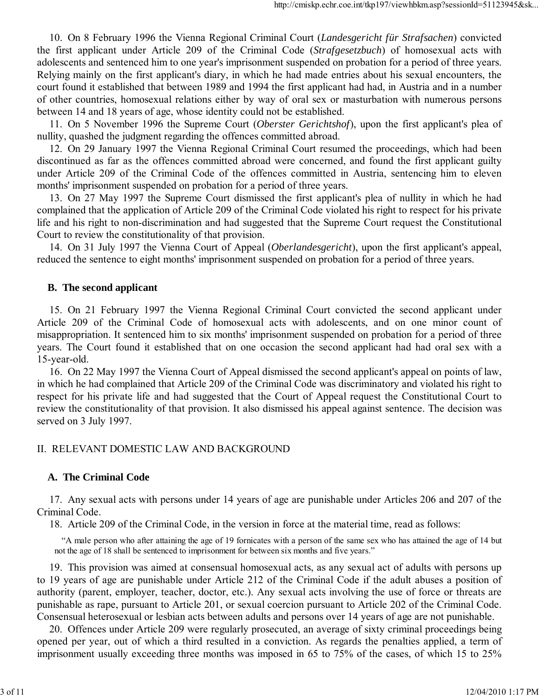10. On 8 February 1996 the Vienna Regional Criminal Court (*Landesgericht für Strafsachen*) convicted the first applicant under Article 209 of the Criminal Code (*Strafgesetzbuch*) of homosexual acts with adolescents and sentenced him to one year's imprisonment suspended on probation for a period of three years. Relying mainly on the first applicant's diary, in which he had made entries about his sexual encounters, the court found it established that between 1989 and 1994 the first applicant had had, in Austria and in a number of other countries, homosexual relations either by way of oral sex or masturbation with numerous persons between 14 and 18 years of age, whose identity could not be established.

11. On 5 November 1996 the Supreme Court (*Oberster Gerichtshof*), upon the first applicant's plea of nullity, quashed the judgment regarding the offences committed abroad.

12. On 29 January 1997 the Vienna Regional Criminal Court resumed the proceedings, which had been discontinued as far as the offences committed abroad were concerned, and found the first applicant guilty under Article 209 of the Criminal Code of the offences committed in Austria, sentencing him to eleven months' imprisonment suspended on probation for a period of three years.

13. On 27 May 1997 the Supreme Court dismissed the first applicant's plea of nullity in which he had complained that the application of Article 209 of the Criminal Code violated his right to respect for his private life and his right to non-discrimination and had suggested that the Supreme Court request the Constitutional Court to review the constitutionality of that provision.

14. On 31 July 1997 the Vienna Court of Appeal (*Oberlandesgericht*), upon the first applicant's appeal, reduced the sentence to eight months' imprisonment suspended on probation for a period of three years.

#### **B. The second applicant**

15. On 21 February 1997 the Vienna Regional Criminal Court convicted the second applicant under Article 209 of the Criminal Code of homosexual acts with adolescents, and on one minor count of misappropriation. It sentenced him to six months' imprisonment suspended on probation for a period of three years. The Court found it established that on one occasion the second applicant had had oral sex with a 15-year-old.

16. On 22 May 1997 the Vienna Court of Appeal dismissed the second applicant's appeal on points of law, in which he had complained that Article 209 of the Criminal Code was discriminatory and violated his right to respect for his private life and had suggested that the Court of Appeal request the Constitutional Court to review the constitutionality of that provision. It also dismissed his appeal against sentence. The decision was served on 3 July 1997.

#### II. RELEVANT DOMESTIC LAW AND BACKGROUND

#### **A. The Criminal Code**

17. Any sexual acts with persons under 14 years of age are punishable under Articles 206 and 207 of the Criminal Code.

18. Article 209 of the Criminal Code, in the version in force at the material time, read as follows:

"A male person who after attaining the age of 19 fornicates with a person of the same sex who has attained the age of 14 but not the age of 18 shall be sentenced to imprisonment for between six months and five years."

19. This provision was aimed at consensual homosexual acts, as any sexual act of adults with persons up to 19 years of age are punishable under Article 212 of the Criminal Code if the adult abuses a position of authority (parent, employer, teacher, doctor, etc.). Any sexual acts involving the use of force or threats are punishable as rape, pursuant to Article 201, or sexual coercion pursuant to Article 202 of the Criminal Code. Consensual heterosexual or lesbian acts between adults and persons over 14 years of age are not punishable.

20. Offences under Article 209 were regularly prosecuted, an average of sixty criminal proceedings being opened per year, out of which a third resulted in a conviction. As regards the penalties applied, a term of imprisonment usually exceeding three months was imposed in 65 to 75% of the cases, of which 15 to 25%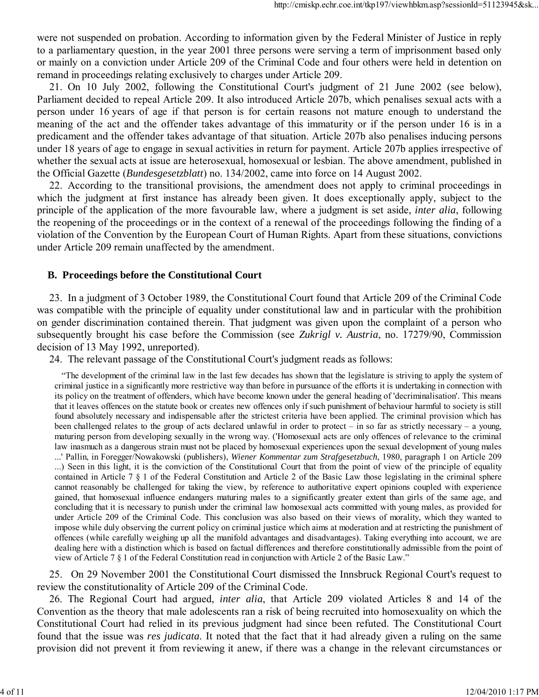were not suspended on probation. According to information given by the Federal Minister of Justice in reply to a parliamentary question, in the year 2001 three persons were serving a term of imprisonment based only or mainly on a conviction under Article 209 of the Criminal Code and four others were held in detention on remand in proceedings relating exclusively to charges under Article 209.

21. On 10 July 2002, following the Constitutional Court's judgment of 21 June 2002 (see below), Parliament decided to repeal Article 209. It also introduced Article 207b, which penalises sexual acts with a person under 16 years of age if that person is for certain reasons not mature enough to understand the meaning of the act and the offender takes advantage of this immaturity or if the person under 16 is in a predicament and the offender takes advantage of that situation. Article 207b also penalises inducing persons under 18 years of age to engage in sexual activities in return for payment. Article 207b applies irrespective of whether the sexual acts at issue are heterosexual, homosexual or lesbian. The above amendment, published in the Official Gazette (*Bundesgesetzblatt*) no. 134/2002, came into force on 14 August 2002.

22. According to the transitional provisions, the amendment does not apply to criminal proceedings in which the judgment at first instance has already been given. It does exceptionally apply, subject to the principle of the application of the more favourable law, where a judgment is set aside, *inter alia*, following the reopening of the proceedings or in the context of a renewal of the proceedings following the finding of a violation of the Convention by the European Court of Human Rights. Apart from these situations, convictions under Article 209 remain unaffected by the amendment.

#### **B. Proceedings before the Constitutional Court**

23. In a judgment of 3 October 1989, the Constitutional Court found that Article 209 of the Criminal Code was compatible with the principle of equality under constitutional law and in particular with the prohibition on gender discrimination contained therein. That judgment was given upon the complaint of a person who subsequently brought his case before the Commission (see *Zukrigl v. Austria*, no. 17279/90, Commission decision of 13 May 1992, unreported).

24. The relevant passage of the Constitutional Court's judgment reads as follows:

"The development of the criminal law in the last few decades has shown that the legislature is striving to apply the system of criminal justice in a significantly more restrictive way than before in pursuance of the efforts it is undertaking in connection with its policy on the treatment of offenders, which have become known under the general heading of 'decriminalisation'. This means that it leaves offences on the statute book or creates new offences only if such punishment of behaviour harmful to society is still found absolutely necessary and indispensable after the strictest criteria have been applied. The criminal provision which has been challenged relates to the group of acts declared unlawful in order to protect – in so far as strictly necessary – a young, maturing person from developing sexually in the wrong way. ('Homosexual acts are only offences of relevance to the criminal law inasmuch as a dangerous strain must not be placed by homosexual experiences upon the sexual development of young males ...' Pallin, in Foregger/Nowakowski (publishers), *Wiener Kommentar zum Strafgesetzbuch*, 1980, paragraph 1 on Article 209 ...) Seen in this light, it is the conviction of the Constitutional Court that from the point of view of the principle of equality contained in Article 7 § 1 of the Federal Constitution and Article 2 of the Basic Law those legislating in the criminal sphere cannot reasonably be challenged for taking the view, by reference to authoritative expert opinions coupled with experience gained, that homosexual influence endangers maturing males to a significantly greater extent than girls of the same age, and concluding that it is necessary to punish under the criminal law homosexual acts committed with young males, as provided for under Article 209 of the Criminal Code. This conclusion was also based on their views of morality, which they wanted to impose while duly observing the current policy on criminal justice which aims at moderation and at restricting the punishment of offences (while carefully weighing up all the manifold advantages and disadvantages). Taking everything into account, we are dealing here with a distinction which is based on factual differences and therefore constitutionally admissible from the point of view of Article 7 § 1 of the Federal Constitution read in conjunction with Article 2 of the Basic Law."

25. On 29 November 2001 the Constitutional Court dismissed the Innsbruck Regional Court's request to review the constitutionality of Article 209 of the Criminal Code.

26. The Regional Court had argued, *inter alia*, that Article 209 violated Articles 8 and 14 of the Convention as the theory that male adolescents ran a risk of being recruited into homosexuality on which the Constitutional Court had relied in its previous judgment had since been refuted. The Constitutional Court found that the issue was *res judicata*. It noted that the fact that it had already given a ruling on the same provision did not prevent it from reviewing it anew, if there was a change in the relevant circumstances or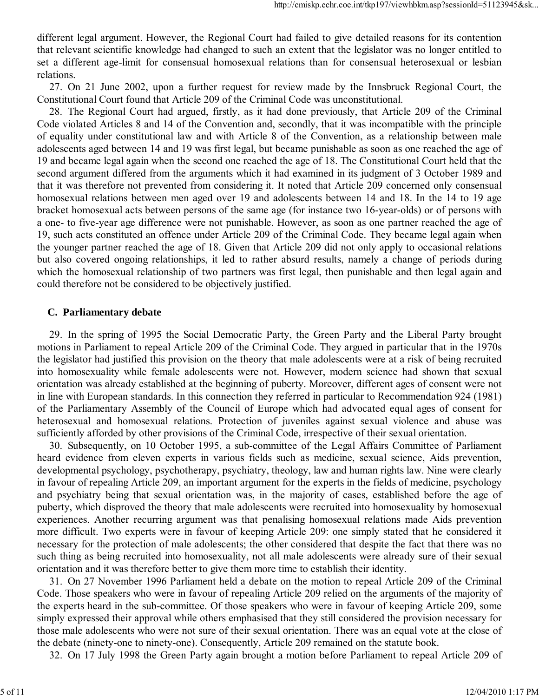different legal argument. However, the Regional Court had failed to give detailed reasons for its contention that relevant scientific knowledge had changed to such an extent that the legislator was no longer entitled to set a different age-limit for consensual homosexual relations than for consensual heterosexual or lesbian relations.

27. On 21 June 2002, upon a further request for review made by the Innsbruck Regional Court, the Constitutional Court found that Article 209 of the Criminal Code was unconstitutional.

28. The Regional Court had argued, firstly, as it had done previously, that Article 209 of the Criminal Code violated Articles 8 and 14 of the Convention and, secondly, that it was incompatible with the principle of equality under constitutional law and with Article 8 of the Convention, as a relationship between male adolescents aged between 14 and 19 was first legal, but became punishable as soon as one reached the age of 19 and became legal again when the second one reached the age of 18. The Constitutional Court held that the second argument differed from the arguments which it had examined in its judgment of 3 October 1989 and that it was therefore not prevented from considering it. It noted that Article 209 concerned only consensual homosexual relations between men aged over 19 and adolescents between 14 and 18. In the 14 to 19 age bracket homosexual acts between persons of the same age (for instance two 16-year-olds) or of persons with a one- to five-year age difference were not punishable. However, as soon as one partner reached the age of 19, such acts constituted an offence under Article 209 of the Criminal Code. They became legal again when the younger partner reached the age of 18. Given that Article 209 did not only apply to occasional relations but also covered ongoing relationships, it led to rather absurd results, namely a change of periods during which the homosexual relationship of two partners was first legal, then punishable and then legal again and could therefore not be considered to be objectively justified.

#### **C. Parliamentary debate**

29. In the spring of 1995 the Social Democratic Party, the Green Party and the Liberal Party brought motions in Parliament to repeal Article 209 of the Criminal Code. They argued in particular that in the 1970s the legislator had justified this provision on the theory that male adolescents were at a risk of being recruited into homosexuality while female adolescents were not. However, modern science had shown that sexual orientation was already established at the beginning of puberty. Moreover, different ages of consent were not in line with European standards. In this connection they referred in particular to Recommendation 924 (1981) of the Parliamentary Assembly of the Council of Europe which had advocated equal ages of consent for heterosexual and homosexual relations. Protection of juveniles against sexual violence and abuse was sufficiently afforded by other provisions of the Criminal Code, irrespective of their sexual orientation.

30. Subsequently, on 10 October 1995, a sub-committee of the Legal Affairs Committee of Parliament heard evidence from eleven experts in various fields such as medicine, sexual science, Aids prevention, developmental psychology, psychotherapy, psychiatry, theology, law and human rights law. Nine were clearly in favour of repealing Article 209, an important argument for the experts in the fields of medicine, psychology and psychiatry being that sexual orientation was, in the majority of cases, established before the age of puberty, which disproved the theory that male adolescents were recruited into homosexuality by homosexual experiences. Another recurring argument was that penalising homosexual relations made Aids prevention more difficult. Two experts were in favour of keeping Article 209: one simply stated that he considered it necessary for the protection of male adolescents; the other considered that despite the fact that there was no such thing as being recruited into homosexuality, not all male adolescents were already sure of their sexual orientation and it was therefore better to give them more time to establish their identity.

31. On 27 November 1996 Parliament held a debate on the motion to repeal Article 209 of the Criminal Code. Those speakers who were in favour of repealing Article 209 relied on the arguments of the majority of the experts heard in the sub-committee. Of those speakers who were in favour of keeping Article 209, some simply expressed their approval while others emphasised that they still considered the provision necessary for those male adolescents who were not sure of their sexual orientation. There was an equal vote at the close of the debate (ninety-one to ninety-one). Consequently, Article 209 remained on the statute book.

32. On 17 July 1998 the Green Party again brought a motion before Parliament to repeal Article 209 of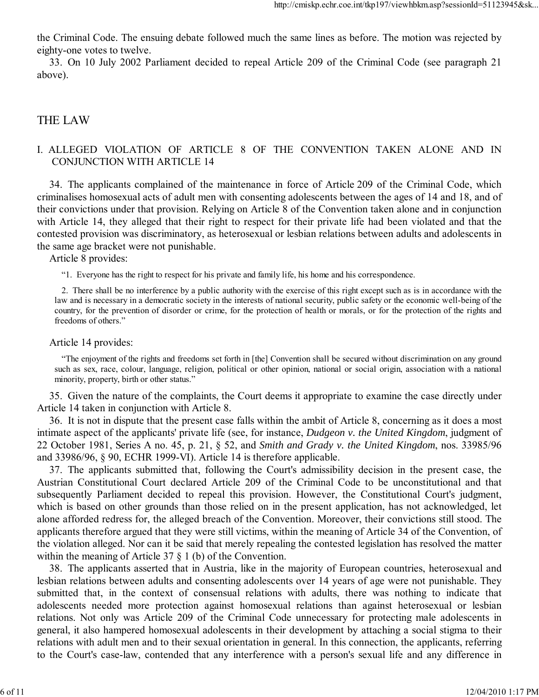the Criminal Code. The ensuing debate followed much the same lines as before. The motion was rejected by eighty-one votes to twelve.

33. On 10 July 2002 Parliament decided to repeal Article 209 of the Criminal Code (see paragraph 21 above).

## THE LAW

#### I. ALLEGED VIOLATION OF ARTICLE 8 OF THE CONVENTION TAKEN ALONE AND IN CONJUNCTION WITH ARTICLE 14

34. The applicants complained of the maintenance in force of Article 209 of the Criminal Code, which criminalises homosexual acts of adult men with consenting adolescents between the ages of 14 and 18, and of their convictions under that provision. Relying on Article 8 of the Convention taken alone and in conjunction with Article 14, they alleged that their right to respect for their private life had been violated and that the contested provision was discriminatory, as heterosexual or lesbian relations between adults and adolescents in the same age bracket were not punishable.

Article 8 provides:

"1. Everyone has the right to respect for his private and family life, his home and his correspondence.

2. There shall be no interference by a public authority with the exercise of this right except such as is in accordance with the law and is necessary in a democratic society in the interests of national security, public safety or the economic well-being of the country, for the prevention of disorder or crime, for the protection of health or morals, or for the protection of the rights and freedoms of others."

Article 14 provides:

"The enjoyment of the rights and freedoms set forth in [the] Convention shall be secured without discrimination on any ground such as sex, race, colour, language, religion, political or other opinion, national or social origin, association with a national minority, property, birth or other status."

35. Given the nature of the complaints, the Court deems it appropriate to examine the case directly under Article 14 taken in conjunction with Article 8.

36. It is not in dispute that the present case falls within the ambit of Article 8, concerning as it does a most intimate aspect of the applicants' private life (see, for instance, *Dudgeon v. the United Kingdom*, judgment of 22 October 1981, Series A no. 45, p. 21, § 52, and *Smith and Grady v. the United Kingdom*, nos. 33985/96 and 33986/96, § 90, ECHR 1999-VI). Article 14 is therefore applicable.

37. The applicants submitted that, following the Court's admissibility decision in the present case, the Austrian Constitutional Court declared Article 209 of the Criminal Code to be unconstitutional and that subsequently Parliament decided to repeal this provision. However, the Constitutional Court's judgment, which is based on other grounds than those relied on in the present application, has not acknowledged, let alone afforded redress for, the alleged breach of the Convention. Moreover, their convictions still stood. The applicants therefore argued that they were still victims, within the meaning of Article 34 of the Convention, of the violation alleged. Nor can it be said that merely repealing the contested legislation has resolved the matter within the meaning of Article 37 § 1 (b) of the Convention.

38. The applicants asserted that in Austria, like in the majority of European countries, heterosexual and lesbian relations between adults and consenting adolescents over 14 years of age were not punishable. They submitted that, in the context of consensual relations with adults, there was nothing to indicate that adolescents needed more protection against homosexual relations than against heterosexual or lesbian relations. Not only was Article 209 of the Criminal Code unnecessary for protecting male adolescents in general, it also hampered homosexual adolescents in their development by attaching a social stigma to their relations with adult men and to their sexual orientation in general. In this connection, the applicants, referring to the Court's case-law, contended that any interference with a person's sexual life and any difference in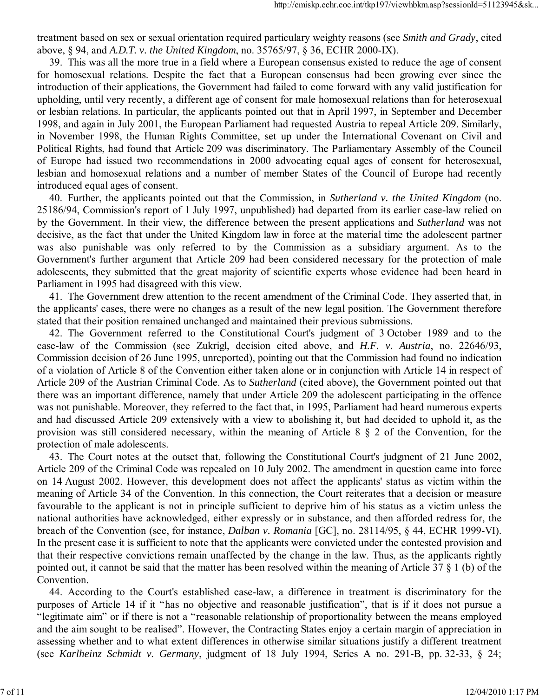treatment based on sex or sexual orientation required particulary weighty reasons (see *Smith and Grady*, cited above, § 94, and *A.D.T. v. the United Kingdom*, no. 35765/97, § 36, ECHR 2000-IX).

39. This was all the more true in a field where a European consensus existed to reduce the age of consent for homosexual relations. Despite the fact that a European consensus had been growing ever since the introduction of their applications, the Government had failed to come forward with any valid justification for upholding, until very recently, a different age of consent for male homosexual relations than for heterosexual or lesbian relations. In particular, the applicants pointed out that in April 1997, in September and December 1998, and again in July 2001, the European Parliament had requested Austria to repeal Article 209. Similarly, in November 1998, the Human Rights Committee, set up under the International Covenant on Civil and Political Rights, had found that Article 209 was discriminatory. The Parliamentary Assembly of the Council of Europe had issued two recommendations in 2000 advocating equal ages of consent for heterosexual, lesbian and homosexual relations and a number of member States of the Council of Europe had recently introduced equal ages of consent.

40. Further, the applicants pointed out that the Commission, in *Sutherland v. the United Kingdom* (no. 25186/94, Commission's report of 1 July 1997, unpublished) had departed from its earlier case-law relied on by the Government. In their view, the difference between the present applications and *Sutherland* was not decisive, as the fact that under the United Kingdom law in force at the material time the adolescent partner was also punishable was only referred to by the Commission as a subsidiary argument. As to the Government's further argument that Article 209 had been considered necessary for the protection of male adolescents, they submitted that the great majority of scientific experts whose evidence had been heard in Parliament in 1995 had disagreed with this view.

41. The Government drew attention to the recent amendment of the Criminal Code. They asserted that, in the applicants' cases, there were no changes as a result of the new legal position. The Government therefore stated that their position remained unchanged and maintained their previous submissions.

42. The Government referred to the Constitutional Court's judgment of 3 October 1989 and to the case-law of the Commission (see Zukrigl, decision cited above, and *H.F. v. Austria*, no. 22646/93, Commission decision of 26 June 1995, unreported), pointing out that the Commission had found no indication of a violation of Article 8 of the Convention either taken alone or in conjunction with Article 14 in respect of Article 209 of the Austrian Criminal Code. As to *Sutherland* (cited above), the Government pointed out that there was an important difference, namely that under Article 209 the adolescent participating in the offence was not punishable. Moreover, they referred to the fact that, in 1995, Parliament had heard numerous experts and had discussed Article 209 extensively with a view to abolishing it, but had decided to uphold it, as the provision was still considered necessary, within the meaning of Article 8 § 2 of the Convention, for the protection of male adolescents.

43. The Court notes at the outset that, following the Constitutional Court's judgment of 21 June 2002, Article 209 of the Criminal Code was repealed on 10 July 2002. The amendment in question came into force on 14 August 2002. However, this development does not affect the applicants' status as victim within the meaning of Article 34 of the Convention. In this connection, the Court reiterates that a decision or measure favourable to the applicant is not in principle sufficient to deprive him of his status as a victim unless the national authorities have acknowledged, either expressly or in substance, and then afforded redress for, the breach of the Convention (see, for instance, *Dalban v. Romania* [GC], no. 28114/95, § 44, ECHR 1999-VI). In the present case it is sufficient to note that the applicants were convicted under the contested provision and that their respective convictions remain unaffected by the change in the law. Thus, as the applicants rightly pointed out, it cannot be said that the matter has been resolved within the meaning of Article 37 § 1 (b) of the Convention.

44. According to the Court's established case-law, a difference in treatment is discriminatory for the purposes of Article 14 if it "has no objective and reasonable justification", that is if it does not pursue a "legitimate aim" or if there is not a "reasonable relationship of proportionality between the means employed and the aim sought to be realised". However, the Contracting States enjoy a certain margin of appreciation in assessing whether and to what extent differences in otherwise similar situations justify a different treatment (see *Karlheinz Schmidt v. Germany*, judgment of 18 July 1994, Series A no. 291-B, pp. 32-33, § 24;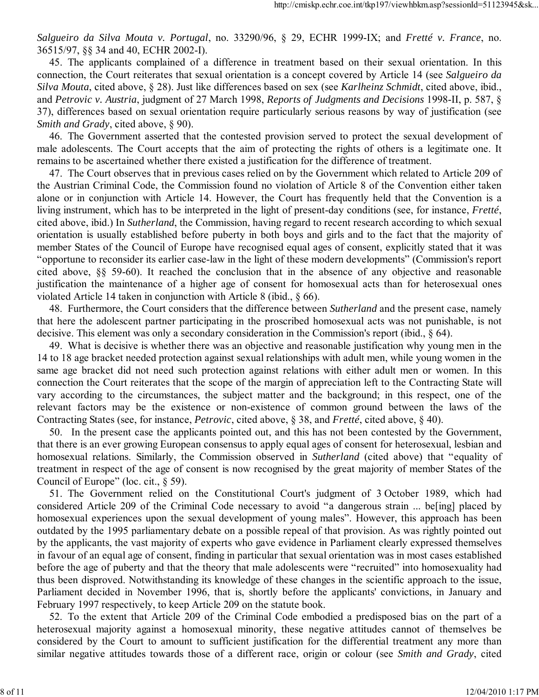*Salgueiro da Silva Mouta v. Portugal*, no. 33290/96, § 29, ECHR 1999-IX; and *Fretté v. France*, no. 36515/97, §§ 34 and 40, ECHR 2002-I).

45. The applicants complained of a difference in treatment based on their sexual orientation. In this connection, the Court reiterates that sexual orientation is a concept covered by Article 14 (see *Salgueiro da Silva Mouta*, cited above, § 28). Just like differences based on sex (see *Karlheinz Schmidt*, cited above, ibid., and *Petrovic v. Austria*, judgment of 27 March 1998, *Reports of Judgments and Decisions* 1998-II, p. 587, § 37), differences based on sexual orientation require particularly serious reasons by way of justification (see *Smith and Grady*, cited above, § 90).

46. The Government asserted that the contested provision served to protect the sexual development of male adolescents. The Court accepts that the aim of protecting the rights of others is a legitimate one. It remains to be ascertained whether there existed a justification for the difference of treatment.

47. The Court observes that in previous cases relied on by the Government which related to Article 209 of the Austrian Criminal Code, the Commission found no violation of Article 8 of the Convention either taken alone or in conjunction with Article 14. However, the Court has frequently held that the Convention is a living instrument, which has to be interpreted in the light of present-day conditions (see, for instance, *Fretté*, cited above, ibid.) In *Sutherland*, the Commission, having regard to recent research according to which sexual orientation is usually established before puberty in both boys and girls and to the fact that the majority of member States of the Council of Europe have recognised equal ages of consent, explicitly stated that it was "opportune to reconsider its earlier case-law in the light of these modern developments" (Commission's report cited above, §§ 59-60). It reached the conclusion that in the absence of any objective and reasonable justification the maintenance of a higher age of consent for homosexual acts than for heterosexual ones violated Article 14 taken in conjunction with Article 8 (ibid., § 66).

48. Furthermore, the Court considers that the difference between *Sutherland* and the present case, namely that here the adolescent partner participating in the proscribed homosexual acts was not punishable, is not decisive. This element was only a secondary consideration in the Commission's report (ibid., § 64).

49. What is decisive is whether there was an objective and reasonable justification why young men in the 14 to 18 age bracket needed protection against sexual relationships with adult men, while young women in the same age bracket did not need such protection against relations with either adult men or women. In this connection the Court reiterates that the scope of the margin of appreciation left to the Contracting State will vary according to the circumstances, the subject matter and the background; in this respect, one of the relevant factors may be the existence or non-existence of common ground between the laws of the Contracting States (see, for instance, *Petrovic*, cited above, § 38, and *Fretté*, cited above, § 40).

50. In the present case the applicants pointed out, and this has not been contested by the Government, that there is an ever growing European consensus to apply equal ages of consent for heterosexual, lesbian and homosexual relations. Similarly, the Commission observed in *Sutherland* (cited above) that "equality of treatment in respect of the age of consent is now recognised by the great majority of member States of the Council of Europe" (loc. cit., § 59).

51. The Government relied on the Constitutional Court's judgment of 3 October 1989, which had considered Article 209 of the Criminal Code necessary to avoid "a dangerous strain ... be[ing] placed by homosexual experiences upon the sexual development of young males". However, this approach has been outdated by the 1995 parliamentary debate on a possible repeal of that provision. As was rightly pointed out by the applicants, the vast majority of experts who gave evidence in Parliament clearly expressed themselves in favour of an equal age of consent, finding in particular that sexual orientation was in most cases established before the age of puberty and that the theory that male adolescents were "recruited" into homosexuality had thus been disproved. Notwithstanding its knowledge of these changes in the scientific approach to the issue, Parliament decided in November 1996, that is, shortly before the applicants' convictions, in January and February 1997 respectively, to keep Article 209 on the statute book.

52. To the extent that Article 209 of the Criminal Code embodied a predisposed bias on the part of a heterosexual majority against a homosexual minority, these negative attitudes cannot of themselves be considered by the Court to amount to sufficient justification for the differential treatment any more than similar negative attitudes towards those of a different race, origin or colour (see *Smith and Grady*, cited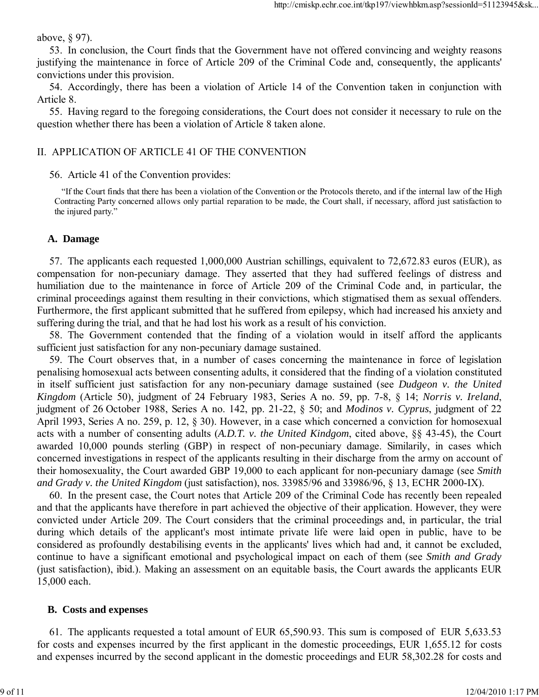above, § 97).

53. In conclusion, the Court finds that the Government have not offered convincing and weighty reasons justifying the maintenance in force of Article 209 of the Criminal Code and, consequently, the applicants' convictions under this provision.

54. Accordingly, there has been a violation of Article 14 of the Convention taken in conjunction with Article 8.

55. Having regard to the foregoing considerations, the Court does not consider it necessary to rule on the question whether there has been a violation of Article 8 taken alone.

#### II. APPLICATION OF ARTICLE 41 OF THE CONVENTION

#### 56. Article 41 of the Convention provides:

"If the Court finds that there has been a violation of the Convention or the Protocols thereto, and if the internal law of the High Contracting Party concerned allows only partial reparation to be made, the Court shall, if necessary, afford just satisfaction to the injured party."

#### **A. Damage**

57. The applicants each requested 1,000,000 Austrian schillings, equivalent to 72,672.83 euros (EUR), as compensation for non-pecuniary damage. They asserted that they had suffered feelings of distress and humiliation due to the maintenance in force of Article 209 of the Criminal Code and, in particular, the criminal proceedings against them resulting in their convictions, which stigmatised them as sexual offenders. Furthermore, the first applicant submitted that he suffered from epilepsy, which had increased his anxiety and suffering during the trial, and that he had lost his work as a result of his conviction.

58. The Government contended that the finding of a violation would in itself afford the applicants sufficient just satisfaction for any non-pecuniary damage sustained.

59. The Court observes that, in a number of cases concerning the maintenance in force of legislation penalising homosexual acts between consenting adults, it considered that the finding of a violation constituted in itself sufficient just satisfaction for any non-pecuniary damage sustained (see *Dudgeon v. the United Kingdom* (Article 50), judgment of 24 February 1983, Series A no. 59, pp. 7-8, § 14; *Norris v. Ireland*, judgment of 26 October 1988, Series A no. 142, pp. 21-22, § 50; and *Modinos v. Cyprus*, judgment of 22 April 1993, Series A no. 259, p. 12, § 30). However, in a case which concerned a conviction for homosexual acts with a number of consenting adults (*A.D.T. v. the United Kindgom*, cited above, §§ 43-45), the Court awarded 10,000 pounds sterling (GBP) in respect of non-pecuniary damage. Similarily, in cases which concerned investigations in respect of the applicants resulting in their discharge from the army on account of their homosexuality, the Court awarded GBP 19,000 to each applicant for non-pecuniary damage (see *Smith and Grady v. the United Kingdom* (just satisfaction), nos. 33985/96 and 33986/96, § 13, ECHR 2000-IX).

60. In the present case, the Court notes that Article 209 of the Criminal Code has recently been repealed and that the applicants have therefore in part achieved the objective of their application. However, they were convicted under Article 209. The Court considers that the criminal proceedings and, in particular, the trial during which details of the applicant's most intimate private life were laid open in public, have to be considered as profoundly destabilising events in the applicants' lives which had and, it cannot be excluded, continue to have a significant emotional and psychological impact on each of them (see *Smith and Grady* (just satisfaction), ibid.). Making an assessment on an equitable basis, the Court awards the applicants EUR 15,000 each.

#### **B. Costs and expenses**

61. The applicants requested a total amount of EUR 65,590.93. This sum is composed of EUR 5,633.53 for costs and expenses incurred by the first applicant in the domestic proceedings, EUR 1,655.12 for costs and expenses incurred by the second applicant in the domestic proceedings and EUR 58,302.28 for costs and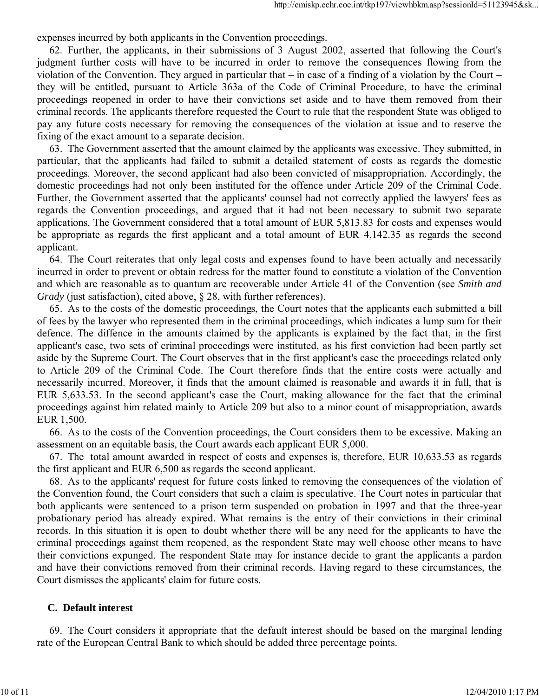expenses incurred by both applicants in the Convention proceedings.

62. Further, the applicants, in their submissions of 3 August 2002, asserted that following the Court's judgment further costs will have to be incurred in order to remove the consequences flowing from the violation of the Convention. They argued in particular that – in case of a finding of a violation by the Court – they will be entitled, pursuant to Article 363a of the Code of Criminal Procedure, to have the criminal proceedings reopened in order to have their convictions set aside and to have them removed from their criminal records. The applicants therefore requested the Court to rule that the respondent State was obliged to pay any future costs necessary for removing the consequences of the violation at issue and to reserve the fixing of the exact amount to a separate decision.

63. The Government asserted that the amount claimed by the applicants was excessive. They submitted, in particular, that the applicants had failed to submit a detailed statement of costs as regards the domestic proceedings. Moreover, the second applicant had also been convicted of misappropriation. Accordingly, the domestic proceedings had not only been instituted for the offence under Article 209 of the Criminal Code. Further, the Government asserted that the applicants' counsel had not correctly applied the lawyers' fees as regards the Convention proceedings, and argued that it had not been necessary to submit two separate applications. The Government considered that a total amount of EUR 5,813.83 for costs and expenses would be appropriate as regards the first applicant and a total amount of EUR 4,142.35 as regards the second applicant.

64. The Court reiterates that only legal costs and expenses found to have been actually and necessarily incurred in order to prevent or obtain redress for the matter found to constitute a violation of the Convention and which are reasonable as to quantum are recoverable under Article 41 of the Convention (see *Smith and Grady* (just satisfaction), cited above, § 28, with further references).

65. As to the costs of the domestic proceedings, the Court notes that the applicants each submitted a bill of fees by the lawyer who represented them in the criminal proceedings, which indicates a lump sum for their defence. The diffence in the amounts claimed by the applicants is explained by the fact that, in the first applicant's case, two sets of criminal proceedings were instituted, as his first conviction had been partly set aside by the Supreme Court. The Court observes that in the first applicant's case the proceedings related only to Article 209 of the Criminal Code. The Court therefore finds that the entire costs were actually and necessarily incurred. Moreover, it finds that the amount claimed is reasonable and awards it in full, that is EUR 5,633.53. In the second applicant's case the Court, making allowance for the fact that the criminal proceedings against him related mainly to Article 209 but also to a minor count of misappropriation, awards EUR 1,500.

66. As to the costs of the Convention proceedings, the Court considers them to be excessive. Making an assessment on an equitable basis, the Court awards each applicant EUR 5,000.

67. The total amount awarded in respect of costs and expenses is, therefore, EUR 10,633.53 as regards the first applicant and EUR 6,500 as regards the second applicant.

68. As to the applicants' request for future costs linked to removing the consequences of the violation of the Convention found, the Court considers that such a claim is speculative. The Court notes in particular that both applicants were sentenced to a prison term suspended on probation in 1997 and that the three-year probationary period has already expired. What remains is the entry of their convictions in their criminal records. In this situation it is open to doubt whether there will be any need for the applicants to have the criminal proceedings against them reopened, as the respondent State may well choose other means to have their convictions expunged. The respondent State may for instance decide to grant the applicants a pardon and have their convictions removed from their criminal records. Having regard to these circumstances, the Court dismisses the applicants' claim for future costs.

#### **C. Default interest**

69. The Court considers it appropriate that the default interest should be based on the marginal lending rate of the European Central Bank to which should be added three percentage points.